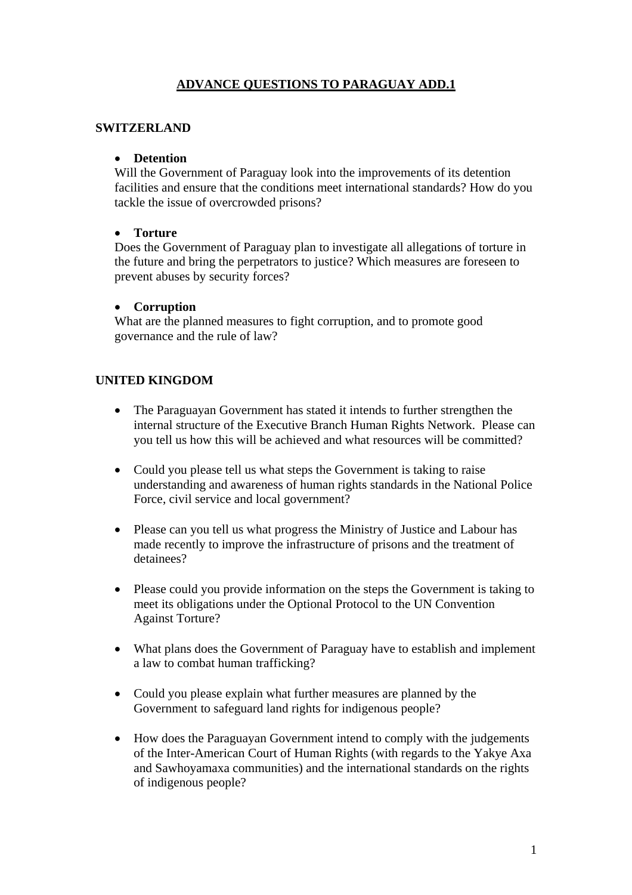# **ADVANCE QUESTIONS TO PARAGUAY ADD.1**

### **SWITZERLAND**

#### • **Detention**

Will the Government of Paraguay look into the improvements of its detention facilities and ensure that the conditions meet international standards? How do you tackle the issue of overcrowded prisons?

## • **Torture**

Does the Government of Paraguay plan to investigate all allegations of torture in the future and bring the perpetrators to justice? Which measures are foreseen to prevent abuses by security forces?

#### • **Corruption**

What are the planned measures to fight corruption, and to promote good governance and the rule of law?

## **UNITED KINGDOM**

- The Paraguayan Government has stated it intends to further strengthen the internal structure of the Executive Branch Human Rights Network. Please can you tell us how this will be achieved and what resources will be committed?
- Could you please tell us what steps the Government is taking to raise understanding and awareness of human rights standards in the National Police Force, civil service and local government?
- Please can you tell us what progress the Ministry of Justice and Labour has made recently to improve the infrastructure of prisons and the treatment of detainees?
- Please could you provide information on the steps the Government is taking to meet its obligations under the Optional Protocol to the UN Convention Against Torture?
- What plans does the Government of Paraguay have to establish and implement a law to combat human trafficking?
- Could you please explain what further measures are planned by the Government to safeguard land rights for indigenous people?
- How does the Paraguayan Government intend to comply with the judgements of the Inter-American Court of Human Rights (with regards to the Yakye Axa and Sawhoyamaxa communities) and the international standards on the rights of indigenous people?